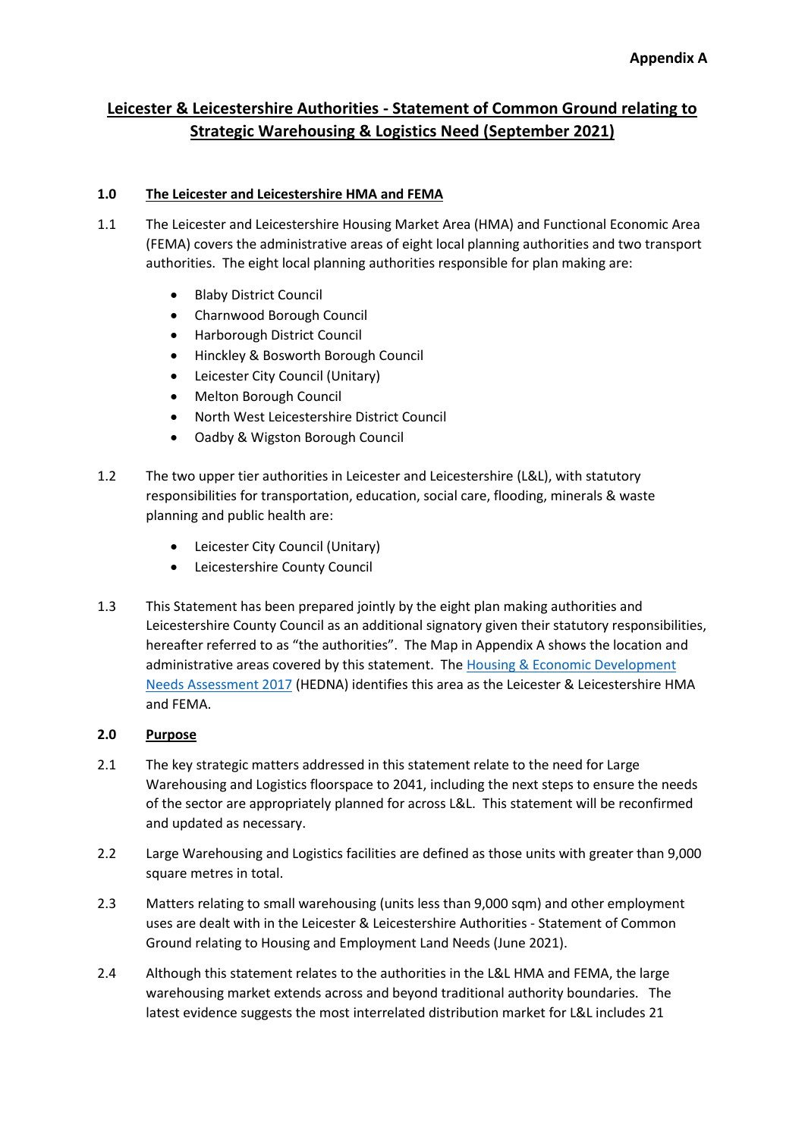# **Leicester & Leicestershire Authorities - Statement of Common Ground relating to Strategic Warehousing & Logistics Need (September 2021)**

# **1.0 The Leicester and Leicestershire HMA and FEMA**

- 1.1 The Leicester and Leicestershire Housing Market Area (HMA) and Functional Economic Area (FEMA) covers the administrative areas of eight local planning authorities and two transport authorities. The eight local planning authorities responsible for plan making are:
	- Blaby District Council
	- Charnwood Borough Council
	- Harborough District Council
	- Hinckley & Bosworth Borough Council
	- Leicester City Council (Unitary)
	- Melton Borough Council
	- North West Leicestershire District Council
	- Oadby & Wigston Borough Council
- 1.2 The two upper tier authorities in Leicester and Leicestershire (L&L), with statutory responsibilities for transportation, education, social care, flooding, minerals & waste planning and public health are:
	- Leicester City Council (Unitary)
	- Leicestershire County Council
- 1.3 This Statement has been prepared jointly by the eight plan making authorities and Leicestershire County Council as an additional signatory given their statutory responsibilities, hereafter referred to as "the authorities". The Map in Appendix A shows the location and administrative areas covered by this statement. The [Housing & Economic Development](https://www.llstrategicgrowthplan.org.uk/the-plan/stage-two/developing-the-evidence-base/hedna/)  [Needs Assessment 2017](https://www.llstrategicgrowthplan.org.uk/the-plan/stage-two/developing-the-evidence-base/hedna/) (HEDNA) identifies this area as the Leicester & Leicestershire HMA and FEMA.

# **2.0 Purpose**

- 2.1 The key strategic matters addressed in this statement relate to the need for Large Warehousing and Logistics floorspace to 2041, including the next steps to ensure the needs of the sector are appropriately planned for across L&L. This statement will be reconfirmed and updated as necessary.
- 2.2 Large Warehousing and Logistics facilities are defined as those units with greater than 9,000 square metres in total.
- 2.3 Matters relating to small warehousing (units less than 9,000 sqm) and other employment uses are dealt with in the Leicester & Leicestershire Authorities - Statement of Common Ground relating to Housing and Employment Land Needs (June 2021).
- 2.4 Although this statement relates to the authorities in the L&L HMA and FEMA, the large warehousing market extends across and beyond traditional authority boundaries. The latest evidence suggests the most interrelated distribution market for L&L includes 21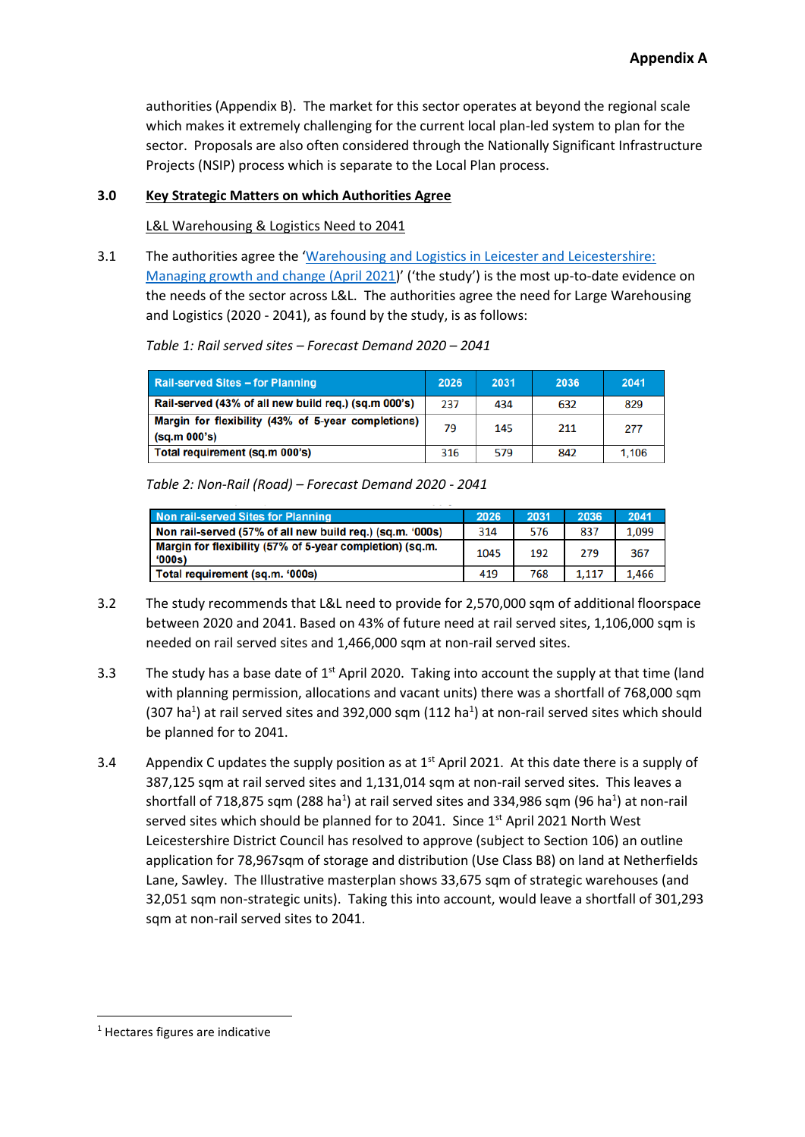authorities (Appendix B). The market for this sector operates at beyond the regional scale which makes it extremely challenging for the current local plan-led system to plan for the sector. Proposals are also often considered through the Nationally Significant Infrastructure Projects (NSIP) process which is separate to the Local Plan process.

### **3.0 Key Strategic Matters on which Authorities Agree**

#### L&L Warehousing & Logistics Need to 2041

3.1 The authorities agree the '[Warehousing and Logistics in Leicester and Leicestershire:](https://www.llstrategicgrowthplan.org.uk/wp-content/uploads/2021/09/Leicester-and-Leicestershire-Strategic-Distribution-Study-2021.pdf)  [Managing growth and change \(April 2021](https://www.llstrategicgrowthplan.org.uk/wp-content/uploads/2021/09/Leicester-and-Leicestershire-Strategic-Distribution-Study-2021.pdf))' ('the study') is the most up-to-date evidence on the needs of the sector across L&L. The authorities agree the need for Large Warehousing and Logistics (2020 - 2041), as found by the study, is as follows:

| <b>Rail-served Sites - for Planning</b>                            | 2026 | 2031 | 2036 | 2041  |
|--------------------------------------------------------------------|------|------|------|-------|
| Rail-served (43% of all new build reg.) (sq.m 000's)               | 237  | 434  | 632  | 829   |
| Margin for flexibility (43% of 5-year completions)<br>(sq.m.000's) | 79   | 145  | 211  | 277   |
| Total requirement (sq.m 000's)                                     | 316  | 579  | 842  | 1,106 |

*Table 1: Rail served sites – Forecast Demand 2020 – 2041*

*Table 2: Non-Rail (Road) – Forecast Demand 2020 - 2041*

| Non rail-served Sites for Planning                                | 2026 | 2031 | 2036  | 2041  |
|-------------------------------------------------------------------|------|------|-------|-------|
| Non rail-served (57% of all new build reg.) (sg.m. '000s)         | 314  | 576  | 837   | 1.099 |
| Margin for flexibility (57% of 5-year completion) (sq.m.<br>'000s | 1045 | 192  | 279   | 367   |
| Total requirement (sq.m. '000s)                                   | 419  | 768  | 1.117 | 1.466 |

- 3.2 The study recommends that L&L need to provide for 2,570,000 sqm of additional floorspace between 2020 and 2041. Based on 43% of future need at rail served sites, 1,106,000 sqm is needed on rail served sites and 1,466,000 sqm at non-rail served sites.
- 3.3 The study has a base date of  $1<sup>st</sup>$  April 2020. Taking into account the supply at that time (land with planning permission, allocations and vacant units) there was a shortfall of 768,000 sqm (307 ha<sup>1</sup>) at rail served sites and 392,000 sqm (112 ha<sup>1</sup>) at non-rail served sites which should be planned for to 2041.
- 3.4 Appendix C updates the supply position as at  $1<sup>st</sup>$  April 2021. At this date there is a supply of 387,125 sqm at rail served sites and 1,131,014 sqm at non-rail served sites. This leaves a shortfall of 718,875 sqm (288 ha<sup>1</sup>) at rail served sites and 334,986 sqm (96 ha<sup>1</sup>) at non-rail served sites which should be planned for to 2041. Since  $1<sup>st</sup>$  April 2021 North West Leicestershire District Council has resolved to approve (subject to Section 106) an outline application for 78,967sqm of storage and distribution (Use Class B8) on land at Netherfields Lane, Sawley. The Illustrative masterplan shows 33,675 sqm of strategic warehouses (and 32,051 sqm non-strategic units). Taking this into account, would leave a shortfall of 301,293 sqm at non-rail served sites to 2041.

<sup>1</sup> Hectares figures are indicative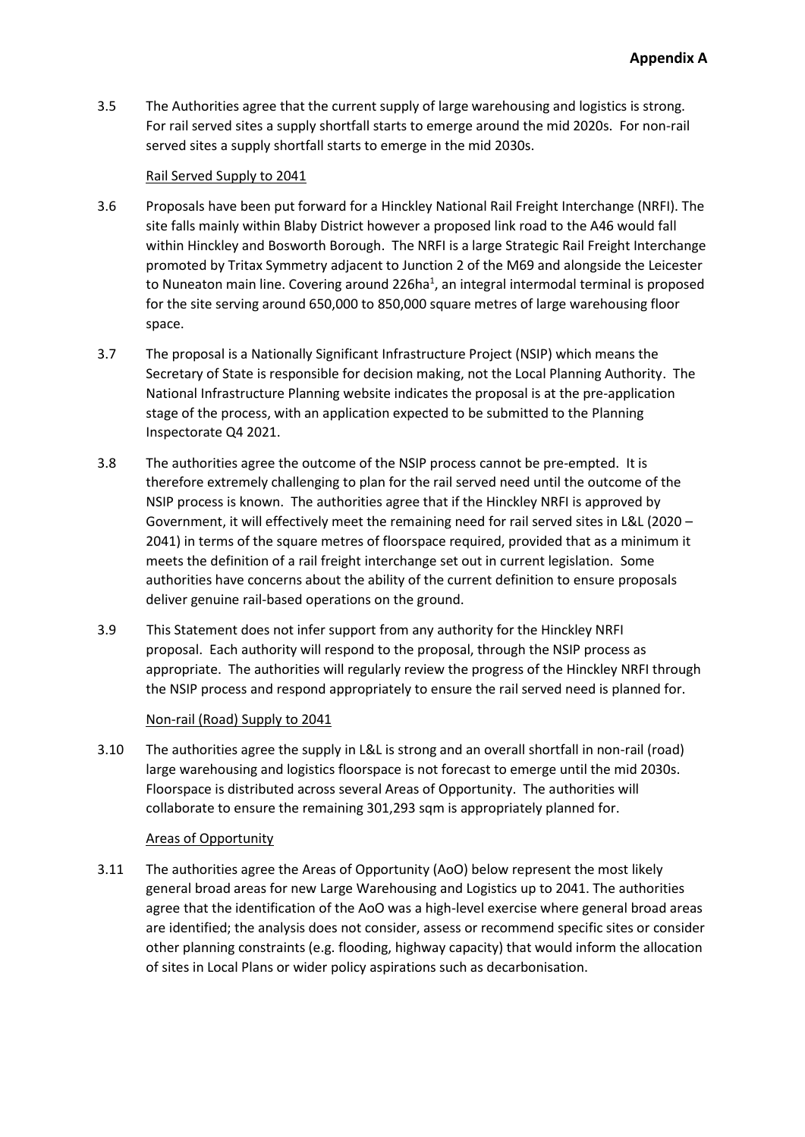3.5 The Authorities agree that the current supply of large warehousing and logistics is strong. For rail served sites a supply shortfall starts to emerge around the mid 2020s. For non-rail served sites a supply shortfall starts to emerge in the mid 2030s.

#### Rail Served Supply to 2041

- 3.6 Proposals have been put forward for a Hinckley National Rail Freight Interchange (NRFI). The site falls mainly within Blaby District however a proposed link road to the A46 would fall within Hinckley and Bosworth Borough. The NRFI is a large Strategic Rail Freight Interchange promoted by Tritax Symmetry adjacent to Junction 2 of the M69 and alongside the Leicester to Nuneaton main line. Covering around 226ha<sup>1</sup>, an integral intermodal terminal is proposed for the site serving around 650,000 to 850,000 square metres of large warehousing floor space.
- 3.7 The proposal is a Nationally Significant Infrastructure Project (NSIP) which means the Secretary of State is responsible for decision making, not the Local Planning Authority. The National Infrastructure Planning website indicates the proposal is at the pre-application stage of the process, with an application expected to be submitted to the Planning Inspectorate Q4 2021.
- 3.8 The authorities agree the outcome of the NSIP process cannot be pre-empted. It is therefore extremely challenging to plan for the rail served need until the outcome of the NSIP process is known. The authorities agree that if the Hinckley NRFI is approved by Government, it will effectively meet the remaining need for rail served sites in L&L (2020 – 2041) in terms of the square metres of floorspace required, provided that as a minimum it meets the definition of a rail freight interchange set out in current legislation. Some authorities have concerns about the ability of the current definition to ensure proposals deliver genuine rail-based operations on the ground.
- 3.9 This Statement does not infer support from any authority for the Hinckley NRFI proposal. Each authority will respond to the proposal, through the NSIP process as appropriate. The authorities will regularly review the progress of the Hinckley NRFI through the NSIP process and respond appropriately to ensure the rail served need is planned for.

#### Non-rail (Road) Supply to 2041

3.10 The authorities agree the supply in L&L is strong and an overall shortfall in non-rail (road) large warehousing and logistics floorspace is not forecast to emerge until the mid 2030s. Floorspace is distributed across several Areas of Opportunity. The authorities will collaborate to ensure the remaining 301,293 sqm is appropriately planned for.

#### Areas of Opportunity

3.11 The authorities agree the Areas of Opportunity (AoO) below represent the most likely general broad areas for new Large Warehousing and Logistics up to 2041. The authorities agree that the identification of the AoO was a high-level exercise where general broad areas are identified; the analysis does not consider, assess or recommend specific sites or consider other planning constraints (e.g. flooding, highway capacity) that would inform the allocation of sites in Local Plans or wider policy aspirations such as decarbonisation.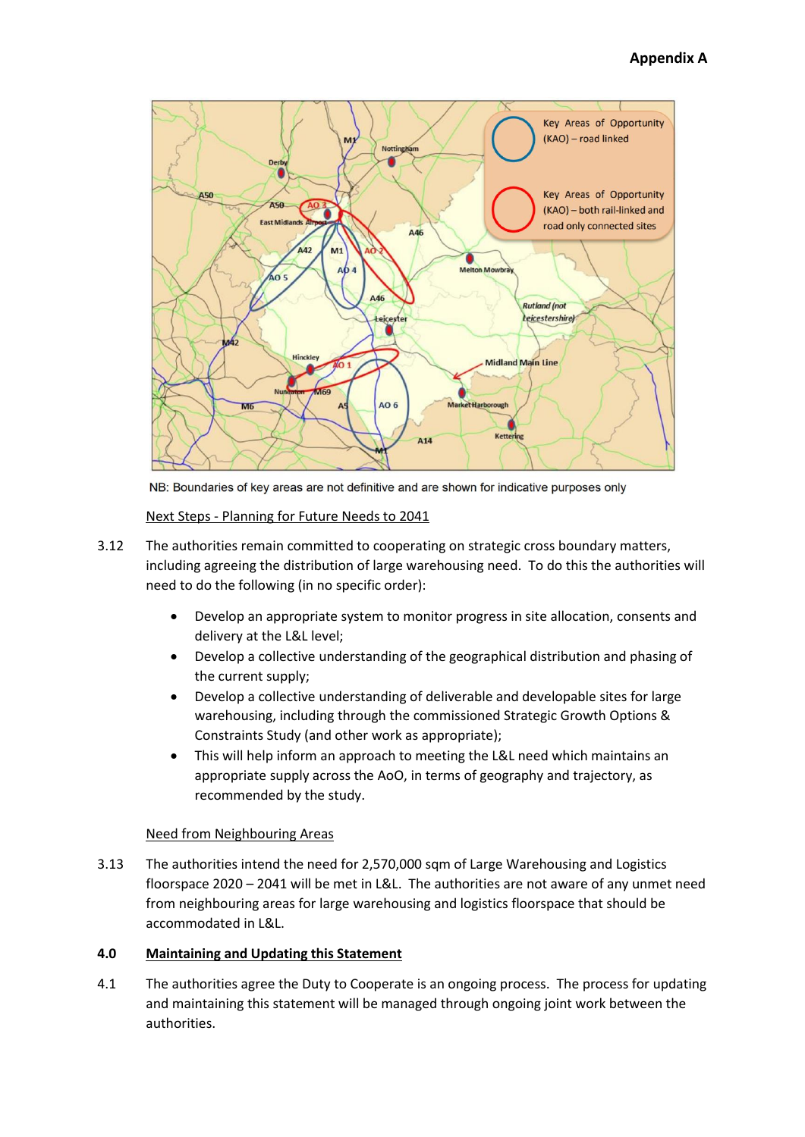

NB: Boundaries of key areas are not definitive and are shown for indicative purposes only

Next Steps - Planning for Future Needs to 2041

- 3.12 The authorities remain committed to cooperating on strategic cross boundary matters, including agreeing the distribution of large warehousing need. To do this the authorities will need to do the following (in no specific order):
	- Develop an appropriate system to monitor progress in site allocation, consents and delivery at the L&L level;
	- Develop a collective understanding of the geographical distribution and phasing of the current supply;
	- Develop a collective understanding of deliverable and developable sites for large warehousing, including through the commissioned Strategic Growth Options & Constraints Study (and other work as appropriate);
	- This will help inform an approach to meeting the L&L need which maintains an appropriate supply across the AoO, in terms of geography and trajectory, as recommended by the study.

#### Need from Neighbouring Areas

3.13 The authorities intend the need for 2,570,000 sqm of Large Warehousing and Logistics floorspace 2020 – 2041 will be met in L&L. The authorities are not aware of any unmet need from neighbouring areas for large warehousing and logistics floorspace that should be accommodated in L&L.

#### **4.0 Maintaining and Updating this Statement**

4.1 The authorities agree the Duty to Cooperate is an ongoing process. The process for updating and maintaining this statement will be managed through ongoing joint work between the authorities.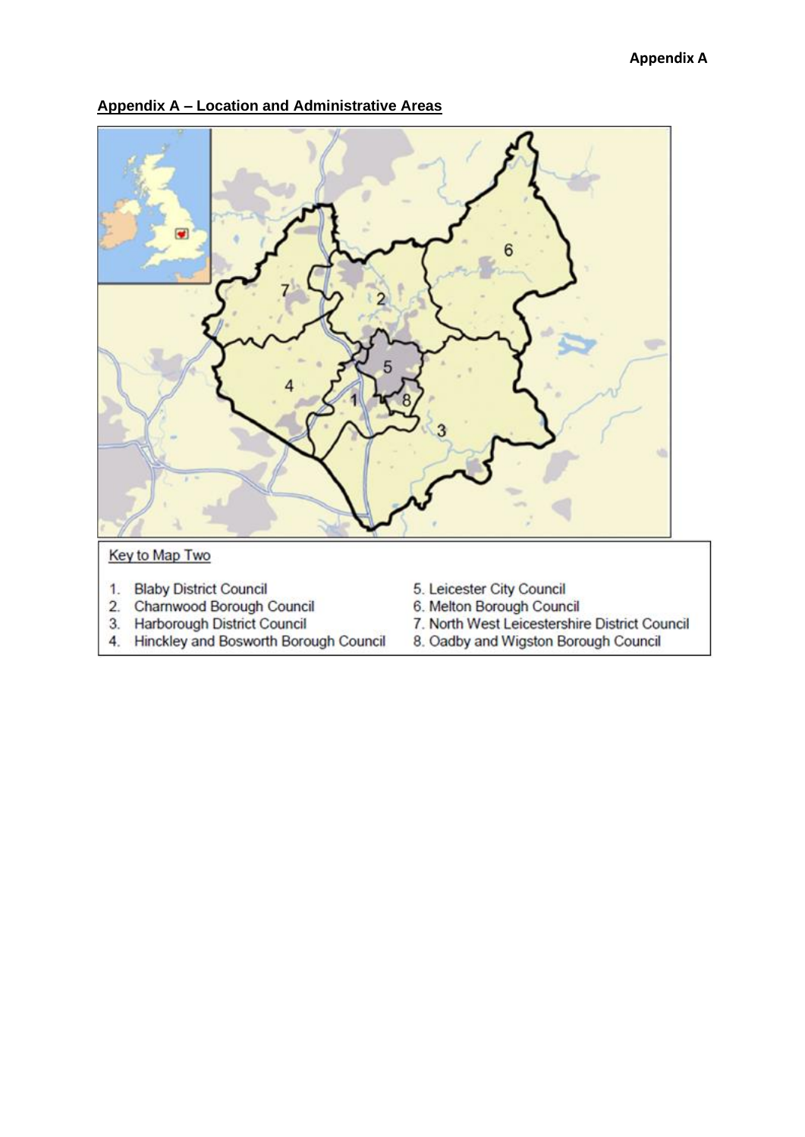

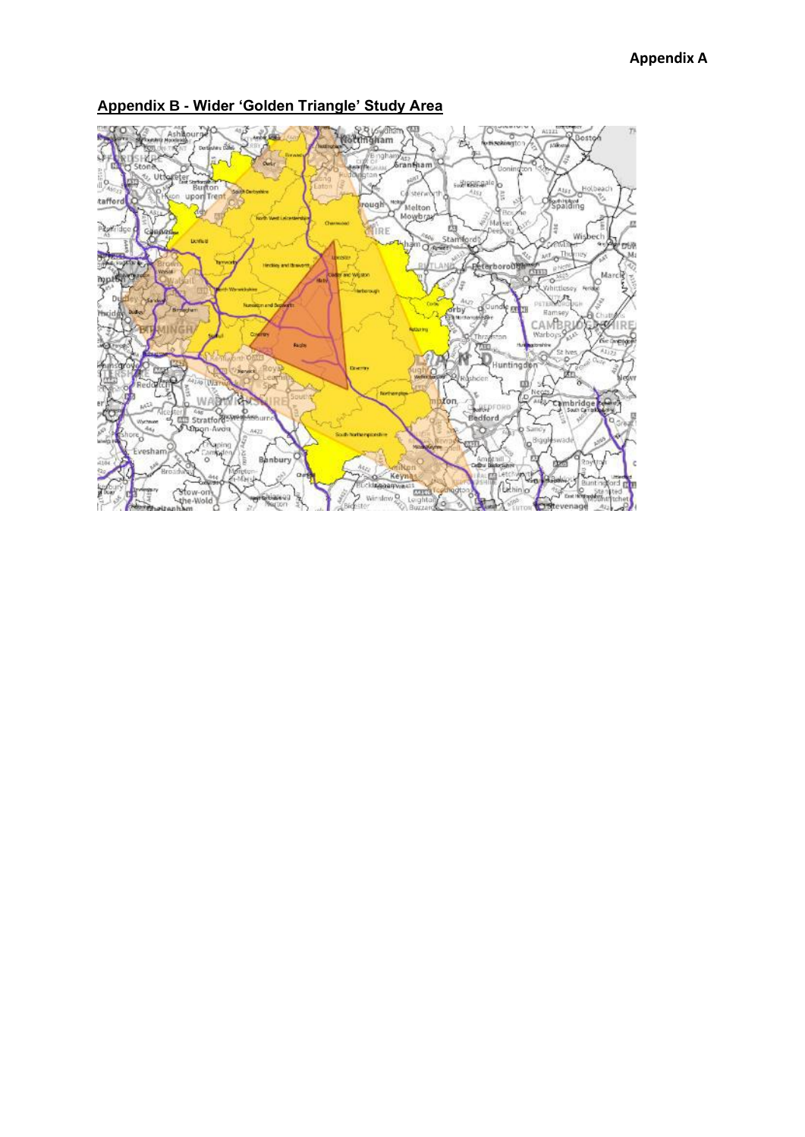

**Appendix B - Wider 'Golden Triangle' Study Area**